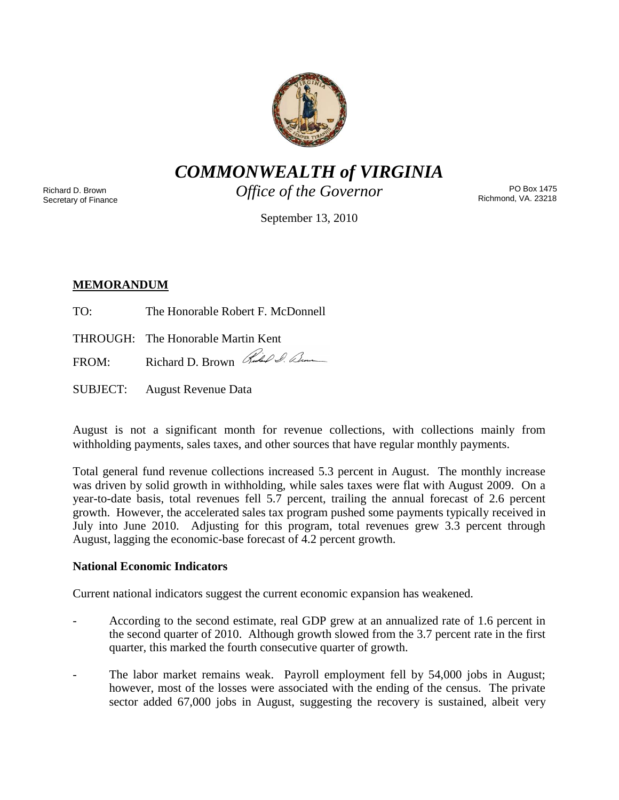

*COMMONWEALTH of VIRGINIA*

Richard D. Brown Secretary of Finance *Office of the Governor*

PO Box 1475 Richmond, VA. 23218

September 13, 2010

# **MEMORANDUM**

- TO: The Honorable Robert F. McDonnell
- THROUGH: The Honorable Martin Kent

FROM: Richard D. Brown Red & Com

SUBJECT: August Revenue Data

August is not a significant month for revenue collections, with collections mainly from withholding payments, sales taxes, and other sources that have regular monthly payments.

Total general fund revenue collections increased 5.3 percent in August. The monthly increase was driven by solid growth in withholding, while sales taxes were flat with August 2009. On a year-to-date basis, total revenues fell 5.7 percent, trailing the annual forecast of 2.6 percent growth. However, the accelerated sales tax program pushed some payments typically received in July into June 2010. Adjusting for this program, total revenues grew 3.3 percent through August, lagging the economic-base forecast of 4.2 percent growth.

### **National Economic Indicators**

Current national indicators suggest the current economic expansion has weakened.

- According to the second estimate, real GDP grew at an annualized rate of 1.6 percent in the second quarter of 2010. Although growth slowed from the 3.7 percent rate in the first quarter, this marked the fourth consecutive quarter of growth.
- The labor market remains weak. Payroll employment fell by 54,000 jobs in August; however, most of the losses were associated with the ending of the census. The private sector added 67,000 jobs in August, suggesting the recovery is sustained, albeit very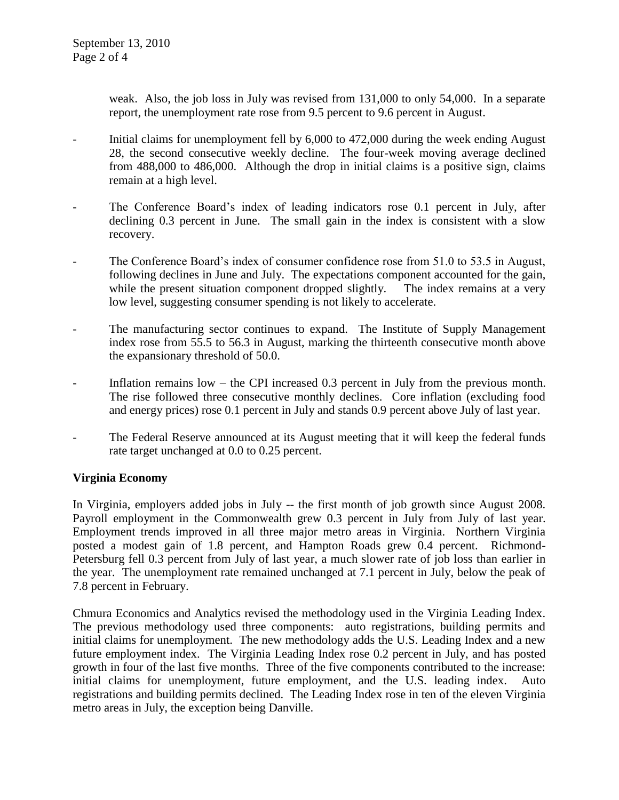weak. Also, the job loss in July was revised from 131,000 to only 54,000. In a separate report, the unemployment rate rose from 9.5 percent to 9.6 percent in August.

- Initial claims for unemployment fell by 6,000 to 472,000 during the week ending August 28, the second consecutive weekly decline. The four-week moving average declined from 488,000 to 486,000. Although the drop in initial claims is a positive sign, claims remain at a high level.
- The Conference Board's index of leading indicators rose 0.1 percent in July, after declining 0.3 percent in June. The small gain in the index is consistent with a slow recovery.
- The Conference Board's index of consumer confidence rose from 51.0 to 53.5 in August, following declines in June and July. The expectations component accounted for the gain, while the present situation component dropped slightly. The index remains at a very low level, suggesting consumer spending is not likely to accelerate.
- The manufacturing sector continues to expand. The Institute of Supply Management index rose from 55.5 to 56.3 in August, marking the thirteenth consecutive month above the expansionary threshold of 50.0.
- Inflation remains low the CPI increased  $0.3$  percent in July from the previous month. The rise followed three consecutive monthly declines. Core inflation (excluding food and energy prices) rose 0.1 percent in July and stands 0.9 percent above July of last year.
- The Federal Reserve announced at its August meeting that it will keep the federal funds rate target unchanged at 0.0 to 0.25 percent.

# **Virginia Economy**

In Virginia, employers added jobs in July -- the first month of job growth since August 2008. Payroll employment in the Commonwealth grew 0.3 percent in July from July of last year. Employment trends improved in all three major metro areas in Virginia. Northern Virginia posted a modest gain of 1.8 percent, and Hampton Roads grew 0.4 percent. Richmond-Petersburg fell 0.3 percent from July of last year, a much slower rate of job loss than earlier in the year. The unemployment rate remained unchanged at 7.1 percent in July, below the peak of 7.8 percent in February.

Chmura Economics and Analytics revised the methodology used in the Virginia Leading Index. The previous methodology used three components: auto registrations, building permits and initial claims for unemployment. The new methodology adds the U.S. Leading Index and a new future employment index. The Virginia Leading Index rose 0.2 percent in July, and has posted growth in four of the last five months. Three of the five components contributed to the increase: initial claims for unemployment, future employment, and the U.S. leading index. Auto registrations and building permits declined. The Leading Index rose in ten of the eleven Virginia metro areas in July, the exception being Danville.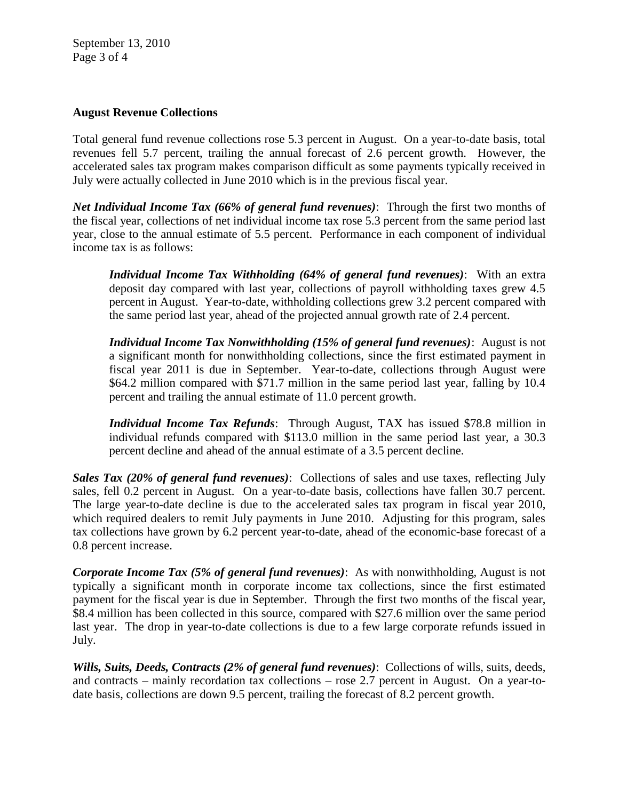September 13, 2010 Page 3 of 4

#### **August Revenue Collections**

Total general fund revenue collections rose 5.3 percent in August. On a year-to-date basis, total revenues fell 5.7 percent, trailing the annual forecast of 2.6 percent growth. However, the accelerated sales tax program makes comparison difficult as some payments typically received in July were actually collected in June 2010 which is in the previous fiscal year.

*Net Individual Income Tax (66% of general fund revenues)*: Through the first two months of the fiscal year, collections of net individual income tax rose 5.3 percent from the same period last year, close to the annual estimate of 5.5 percent. Performance in each component of individual income tax is as follows:

*Individual Income Tax Withholding (64% of general fund revenues)*: With an extra deposit day compared with last year, collections of payroll withholding taxes grew 4.5 percent in August. Year-to-date, withholding collections grew 3.2 percent compared with the same period last year, ahead of the projected annual growth rate of 2.4 percent.

*Individual Income Tax Nonwithholding (15% of general fund revenues)*: August is not a significant month for nonwithholding collections, since the first estimated payment in fiscal year 2011 is due in September. Year-to-date, collections through August were \$64.2 million compared with \$71.7 million in the same period last year, falling by 10.4 percent and trailing the annual estimate of 11.0 percent growth.

*Individual Income Tax Refunds*: Through August, TAX has issued \$78.8 million in individual refunds compared with \$113.0 million in the same period last year, a 30.3 percent decline and ahead of the annual estimate of a 3.5 percent decline.

*Sales Tax (20% of general fund revenues)*: Collections of sales and use taxes, reflecting July sales, fell 0.2 percent in August. On a year-to-date basis, collections have fallen 30.7 percent. The large year-to-date decline is due to the accelerated sales tax program in fiscal year 2010, which required dealers to remit July payments in June 2010. Adjusting for this program, sales tax collections have grown by 6.2 percent year-to-date, ahead of the economic-base forecast of a 0.8 percent increase.

*Corporate Income Tax (5% of general fund revenues)*: As with nonwithholding, August is not typically a significant month in corporate income tax collections, since the first estimated payment for the fiscal year is due in September. Through the first two months of the fiscal year, \$8.4 million has been collected in this source, compared with \$27.6 million over the same period last year. The drop in year-to-date collections is due to a few large corporate refunds issued in July.

*Wills, Suits, Deeds, Contracts (2% of general fund revenues)*: Collections of wills, suits, deeds, and contracts – mainly recordation tax collections – rose 2.7 percent in August. On a year-todate basis, collections are down 9.5 percent, trailing the forecast of 8.2 percent growth.